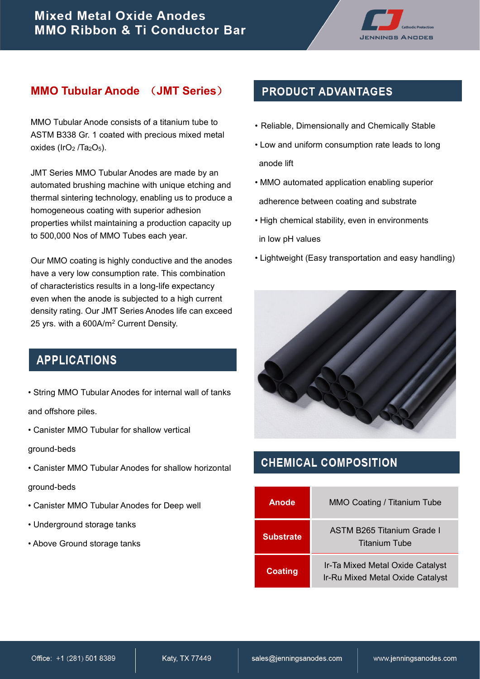

### **MMO Tubular Anode** (**JMT Series**)

MMO Tubular Anode consists of a titanium tube to ASTM B338 Gr. 1 coated with precious mixed metal oxides ( $IrO<sub>2</sub>/Ta<sub>2</sub>O<sub>5</sub>$ ).

JMT Series MMO Tubular Anodes are made by an automated brushing machine with unique etching and thermal sintering technology, enabling us to produce a homogeneous coating with superior adhesion properties whilst maintaining a production capacity up to 500,000 Nos of MMO Tubes each year.

Our MMO coating is highly conductive and the anodes have a very low consumption rate. This combination of characteristics results in a long-life expectancy even when the anode is subjected to a high current density rating. Our JMT Series Anodes life can exceed 25 yrs. with a 600A/m<sup>2</sup> Current Density.

## **APPLICATIONS**

• String MMO Tubular Anodes for internal wall of tanks

and offshore piles.

• Canister MMO Tubular for shallow vertical

ground-beds

• Canister MMO Tubular Anodes for shallow horizontal

ground-beds

- Canister MMO Tubular Anodes for Deep well
- Underground storage tanks
- Above Ground storage tanks

## **PRODUCT ADVANTAGES**

- Reliable, Dimensionally and Chemically Stable
- Low and uniform consumption rate leads to long anode lift
- MMO automated application enabling superior adherence between coating and substrate
- High chemical stability, even in environments in low pH values
- Lightweight (Easy transportation and easy handling)



# **CHEMICAL COMPOSITION**

| Anode            | MMO Coating / Titanium Tube                                          |  |  |  |
|------------------|----------------------------------------------------------------------|--|--|--|
| <b>Substrate</b> | <b>ASTM B265 Titanium Grade I</b><br><b>Titanium Tube</b>            |  |  |  |
| <b>Coating</b>   | Ir-Ta Mixed Metal Oxide Catalyst<br>Ir-Ru Mixed Metal Oxide Catalyst |  |  |  |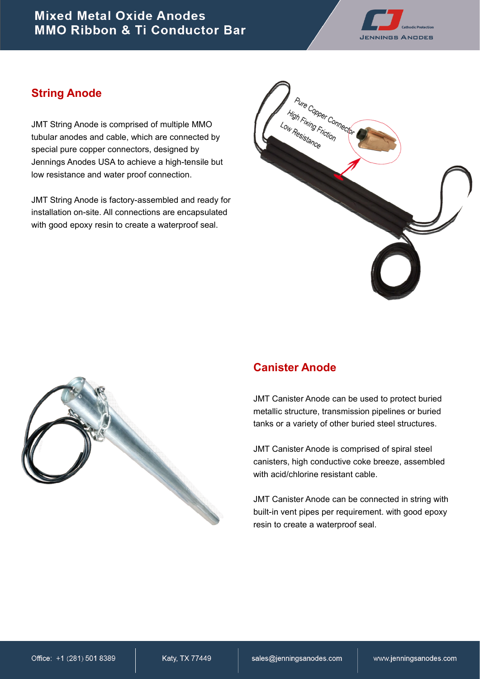## **Mixed Metal Oxide Anodes MMO Ribbon & Ti Conductor Bar**



#### **String Anode**

JMT String Anode is comprised of multiple MMO tubular anodes and cable, which are connected by special pure copper connectors, designed by Jennings Anodes USA to achieve a high-tensile but low resistance and water proof connection.

JMT String Anode is factory-assembled and ready for installation on-site. All connections are encapsulated with good epoxy resin to create a waterproof seal.





## **Canister Anode**

JMT Canister Anode can be used to protect buried metallic structure, transmission pipelines or buried tanks or a variety of other buried steel structures.

JMT Canister Anode is comprised of spiral steel canisters, high conductive coke breeze, assembled with acid/chlorine resistant cable.

JMT Canister Anode can be connected in string with built-in vent pipes per requirement. with good epoxy resin to create a waterproof seal.